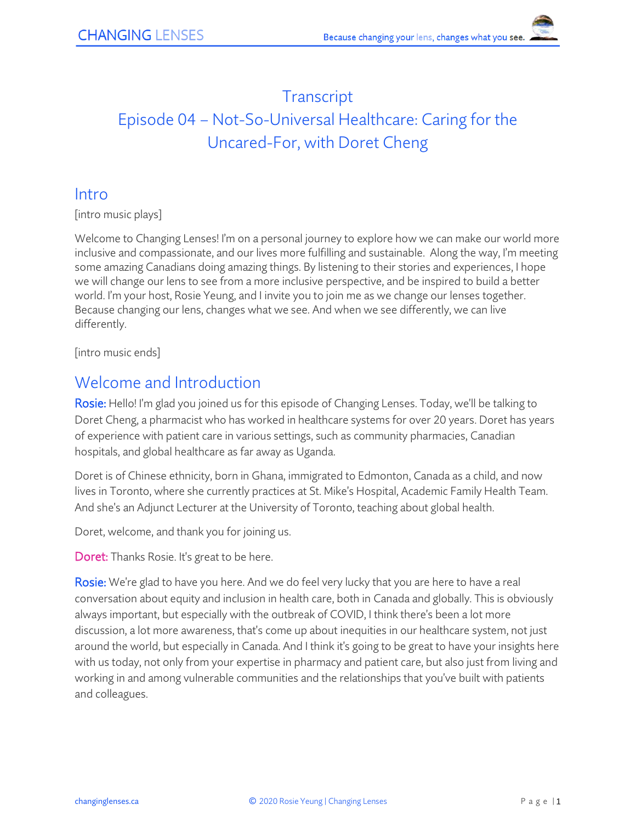# **Transcript** Episode 04 – Not-So-Universal Healthcare: Caring for the Uncared-For, with Doret Cheng

#### Intro

[intro music plays]

Welcome to Changing Lenses! I'm on a personal journey to explore how we can make our world more inclusive and compassionate, and our lives more fulfilling and sustainable. Along the way, I'm meeting some amazing Canadians doing amazing things. By listening to their stories and experiences, I hope we will change our lens to see from a more inclusive perspective, and be inspired to build a better world. I'm your host, Rosie Yeung, and I invite you to join me as we change our lenses together. Because changing our lens, changes what we see. And when we see differently, we can live differently.

[intro music ends]

### Welcome and Introduction

Rosie: Hello! I'm glad you joined us for this episode of Changing Lenses. Today, we'll be talking to Doret Cheng, a pharmacist who has worked in healthcare systems for over 20 years. Doret has years of experience with patient care in various settings, such as community pharmacies, Canadian hospitals, and global healthcare as far away as Uganda.

Doret is of Chinese ethnicity, born in Ghana, immigrated to Edmonton, Canada as a child, and now lives in Toronto, where she currently practices at St. Mike's Hospital, Academic Family Health Team. And she's an Adjunct Lecturer at the University of Toronto, teaching about global health.

Doret, welcome, and thank you for joining us.

Doret: Thanks Rosie. It's great to be here.

Rosie: We're glad to have you here. And we do feel very lucky that you are here to have a real conversation about equity and inclusion in health care, both in Canada and globally. This is obviously always important, but especially with the outbreak of COVID, I think there's been a lot more discussion, a lot more awareness, that's come up about inequities in our healthcare system, not just around the world, but especially in Canada. And I think it's going to be great to have your insights here with us today, not only from your expertise in pharmacy and patient care, but also just from living and working in and among vulnerable communities and the relationships that you've built with patients and colleagues.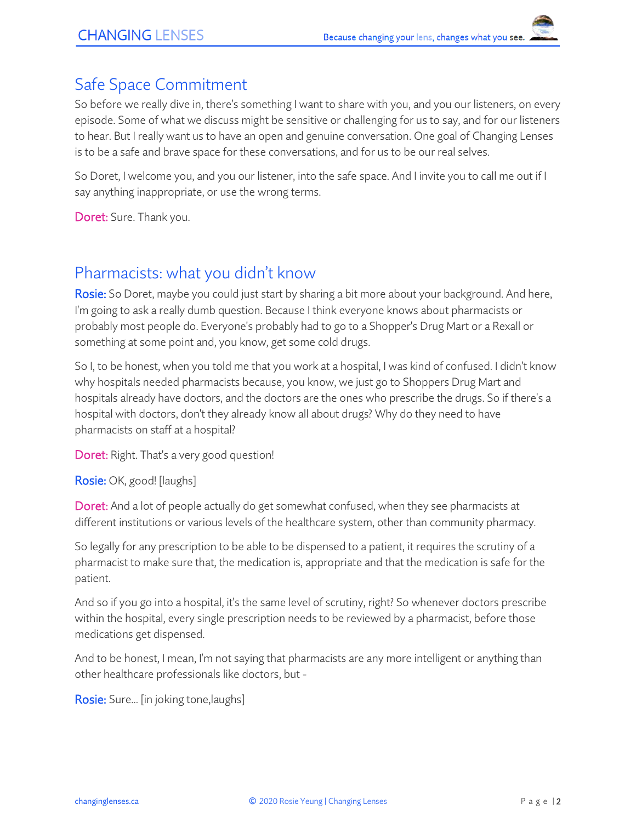### Safe Space Commitment

So before we really dive in, there's something I want to share with you, and you our listeners, on every episode. Some of what we discuss might be sensitive or challenging for us to say, and for our listeners to hear. But I really want us to have an open and genuine conversation. One goal of Changing Lenses is to be a safe and brave space for these conversations, and for us to be our real selves.

So Doret, I welcome you, and you our listener, into the safe space. And I invite you to call me out if I say anything inappropriate, or use the wrong terms.

Doret: Sure. Thank you.

#### Pharmacists: what you didn't know

Rosie: So Doret, maybe you could just start by sharing a bit more about your background. And here, I'm going to ask a really dumb question. Because I think everyone knows about pharmacists or probably most people do. Everyone's probably had to go to a Shopper's Drug Mart or a Rexall or something at some point and, you know, get some cold drugs.

So I, to be honest, when you told me that you work at a hospital, I was kind of confused. I didn't know why hospitals needed pharmacists because, you know, we just go to Shoppers Drug Mart and hospitals already have doctors, and the doctors are the ones who prescribe the drugs. So if there's a hospital with doctors, don't they already know all about drugs? Why do they need to have pharmacists on staff at a hospital?

Doret: Right. That's a very good question!

Rosie: OK, good! [laughs]

Doret: And a lot of people actually do get somewhat confused, when they see pharmacists at different institutions or various levels of the healthcare system, other than community pharmacy.

So legally for any prescription to be able to be dispensed to a patient, it requires the scrutiny of a pharmacist to make sure that, the medication is, appropriate and that the medication is safe for the patient.

And so if you go into a hospital, it's the same level of scrutiny, right? So whenever doctors prescribe within the hospital, every single prescription needs to be reviewed by a pharmacist, before those medications get dispensed.

And to be honest, I mean, I'm not saying that pharmacists are any more intelligent or anything than other healthcare professionals like doctors, but -

Rosie: Sure... [in joking tone, laughs]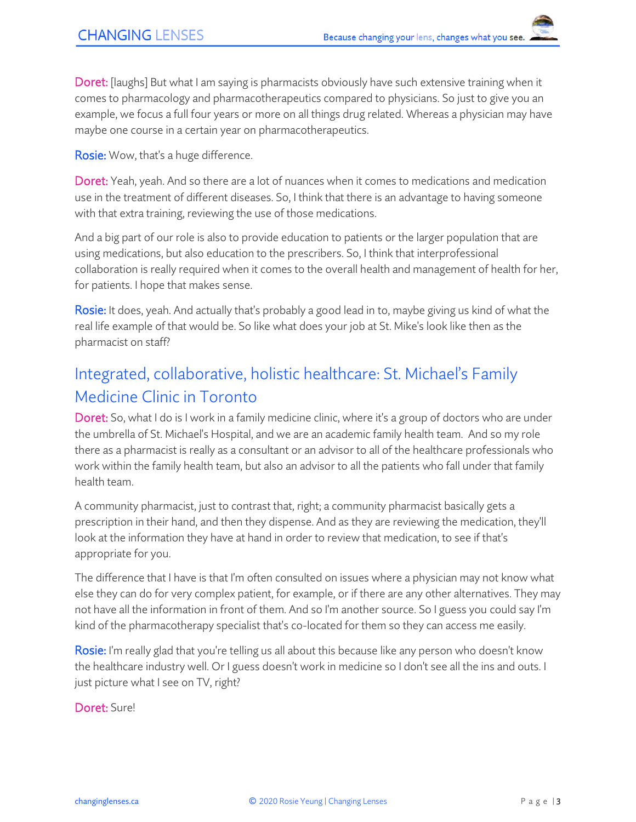Doret: [laughs] But what I am saying is pharmacists obviously have such extensive training when it comes to pharmacology and pharmacotherapeutics compared to physicians. So just to give you an example, we focus a full four years or more on all things drug related. Whereas a physician may have maybe one course in a certain year on pharmacotherapeutics.

**Rosie:** Wow, that's a huge difference.

Doret: Yeah, yeah. And so there are a lot of nuances when it comes to medications and medication use in the treatment of different diseases. So, I think that there is an advantage to having someone with that extra training, reviewing the use of those medications.

And a big part of our role is also to provide education to patients or the larger population that are using medications, but also education to the prescribers. So, I think that interprofessional collaboration is really required when it comes to the overall health and management of health for her, for patients. I hope that makes sense.

Rosie: It does, yeah. And actually that's probably a good lead in to, maybe giving us kind of what the real life example of that would be. So like what does your job at St. Mike's look like then as the pharmacist on staff?

# Integrated, collaborative, holistic healthcare: St. Michael's Family Medicine Clinic in Toronto

Doret: So, what I do is I work in a family medicine clinic, where it's a group of doctors who are under the umbrella of St. Michael's Hospital, and we are an academic family health team. And so my role there as a pharmacist is really as a consultant or an advisor to all of the healthcare professionals who work within the family health team, but also an advisor to all the patients who fall under that family health team.

A community pharmacist, just to contrast that, right; a community pharmacist basically gets a prescription in their hand, and then they dispense. And as they are reviewing the medication, they'll look at the information they have at hand in order to review that medication, to see if that's appropriate for you.

The difference that I have is that I'm often consulted on issues where a physician may not know what else they can do for very complex patient, for example, or if there are any other alternatives. They may not have all the information in front of them. And so I'm another source. So I guess you could say I'm kind of the pharmacotherapy specialist that's co-located for them so they can access me easily.

Rosie: I'm really glad that you're telling us all about this because like any person who doesn't know the healthcare industry well. Or I guess doesn't work in medicine so I don't see all the ins and outs. I just picture what I see on TV, right?

Doret: Sure!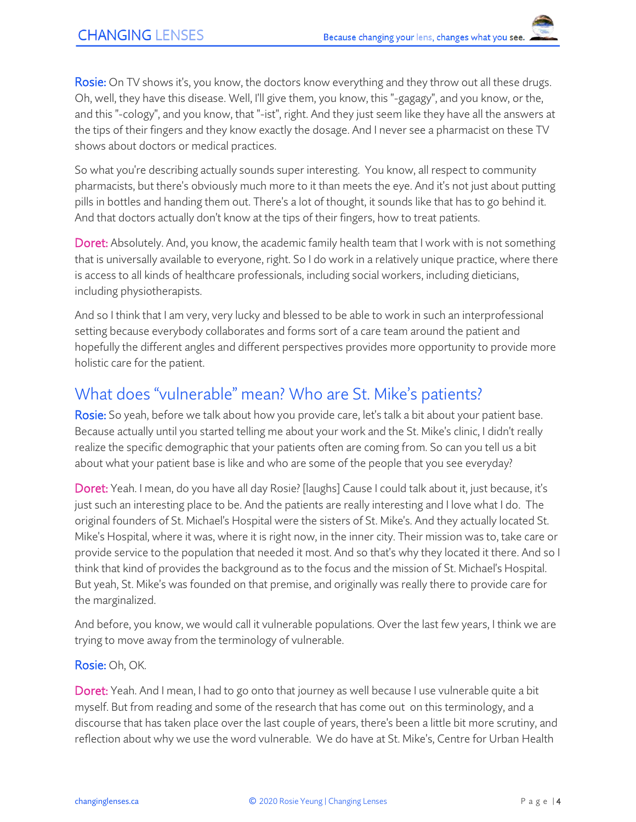Rosie: On TV shows it's, you know, the doctors know everything and they throw out all these drugs. Oh, well, they have this disease. Well, I'll give them, you know, this "-gagagy", and you know, or the, and this "-cology", and you know, that "-ist", right. And they just seem like they have all the answers at the tips of their fingers and they know exactly the dosage. And I never see a pharmacist on these TV shows about doctors or medical practices.

So what you're describing actually sounds super interesting. You know, all respect to community pharmacists, but there's obviously much more to it than meets the eye. And it's not just about putting pills in bottles and handing them out. There's a lot of thought, it sounds like that has to go behind it. And that doctors actually don't know at the tips of their fingers, how to treat patients.

Doret: Absolutely. And, you know, the academic family health team that I work with is not something that is universally available to everyone, right. So I do work in a relatively unique practice, where there is access to all kinds of healthcare professionals, including social workers, including dieticians, including physiotherapists.

And so I think that I am very, very lucky and blessed to be able to work in such an interprofessional setting because everybody collaborates and forms sort of a care team around the patient and hopefully the different angles and different perspectives provides more opportunity to provide more holistic care for the patient.

## What does "vulnerable" mean? Who are St. Mike's patients?

Rosie: So yeah, before we talk about how you provide care, let's talk a bit about your patient base. Because actually until you started telling me about your work and the St. Mike's clinic, I didn't really realize the specific demographic that your patients often are coming from. So can you tell us a bit about what your patient base is like and who are some of the people that you see everyday?

Doret: Yeah. I mean, do you have all day Rosie? [laughs] Cause I could talk about it, just because, it's just such an interesting place to be. And the patients are really interesting and I love what I do. The original founders of St. Michael's Hospital were the sisters of St. Mike's. And they actually located St. Mike's Hospital, where it was, where it is right now, in the inner city. Their mission was to, take care or provide service to the population that needed it most. And so that's why they located it there. And so I think that kind of provides the background as to the focus and the mission of St. Michael's Hospital. But yeah, St. Mike's was founded on that premise, and originally was really there to provide care for the marginalized.

And before, you know, we would call it vulnerable populations. Over the last few years, I think we are trying to move away from the terminology of vulnerable.

Rosie: Oh, OK.

Doret: Yeah. And I mean, I had to go onto that journey as well because I use vulnerable quite a bit myself. But from reading and some of the research that has come out on this terminology, and a discourse that has taken place over the last couple of years, there's been a little bit more scrutiny, and reflection about why we use the word vulnerable. We do have at St. Mike's, Centre for Urban Health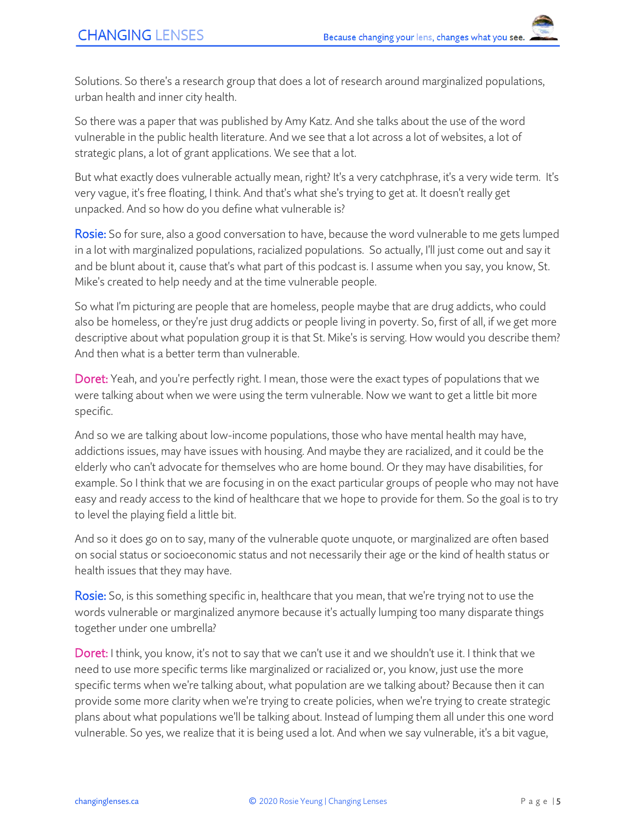Solutions. So there's a research group that does a lot of research around marginalized populations, urban health and inner city health.

So there was a paper that was published by Amy Katz. And she talks about the use of the word vulnerable in the public health literature. And we see that a lot across a lot of websites, a lot of strategic plans, a lot of grant applications. We see that a lot.

But what exactly does vulnerable actually mean, right? It's a very catchphrase, it's a very wide term. It's very vague, it's free floating, I think. And that's what she's trying to get at. It doesn't really get unpacked. And so how do you define what vulnerable is?

Rosie: So for sure, also a good conversation to have, because the word vulnerable to me gets lumped in a lot with marginalized populations, racialized populations. So actually, I'll just come out and say it and be blunt about it, cause that's what part of this podcast is. I assume when you say, you know, St. Mike's created to help needy and at the time vulnerable people.

So what I'm picturing are people that are homeless, people maybe that are drug addicts, who could also be homeless, or they're just drug addicts or people living in poverty. So, first of all, if we get more descriptive about what population group it is that St. Mike's is serving. How would you describe them? And then what is a better term than vulnerable.

Doret: Yeah, and you're perfectly right. I mean, those were the exact types of populations that we were talking about when we were using the term vulnerable. Now we want to get a little bit more specific.

And so we are talking about low-income populations, those who have mental health may have, addictions issues, may have issues with housing. And maybe they are racialized, and it could be the elderly who can't advocate for themselves who are home bound. Or they may have disabilities, for example. So I think that we are focusing in on the exact particular groups of people who may not have easy and ready access to the kind of healthcare that we hope to provide for them. So the goal is to try to level the playing field a little bit.

And so it does go on to say, many of the vulnerable quote unquote, or marginalized are often based on social status or socioeconomic status and not necessarily their age or the kind of health status or health issues that they may have.

Rosie: So, is this something specific in, healthcare that you mean, that we're trying not to use the words vulnerable or marginalized anymore because it's actually lumping too many disparate things together under one umbrella?

Doret: I think, you know, it's not to say that we can't use it and we shouldn't use it. I think that we need to use more specific terms like marginalized or racialized or, you know, just use the more specific terms when we're talking about, what population are we talking about? Because then it can provide some more clarity when we're trying to create policies, when we're trying to create strategic plans about what populations we'll be talking about. Instead of lumping them all under this one word vulnerable. So yes, we realize that it is being used a lot. And when we say vulnerable, it's a bit vague,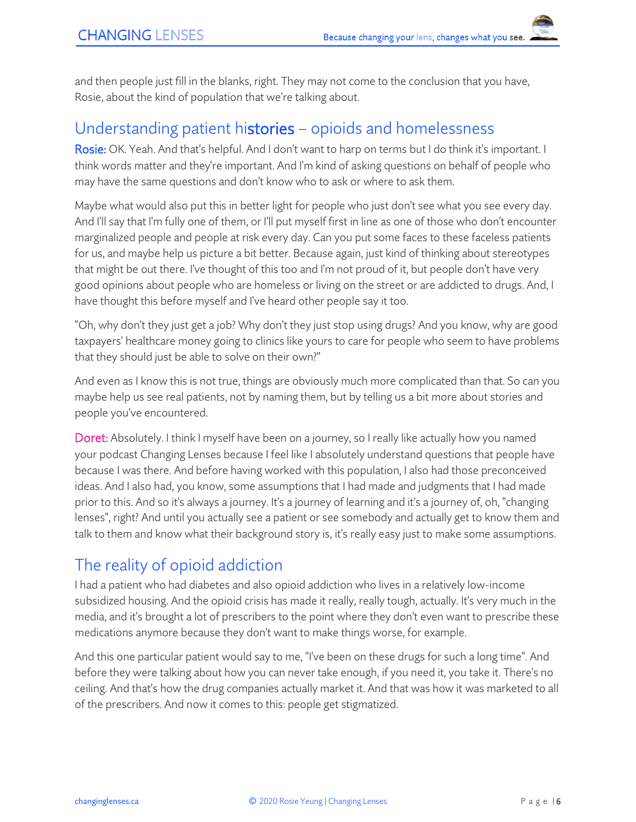and then people just fill in the blanks, right. They may not come to the conclusion that you have, Rosie, about the kind of population that we're talking about.

#### Understanding patient histories – opioids and homelessness

Rosie: OK. Yeah. And that's helpful. And I don't want to harp on terms but I do think it's important. I think words matter and they're important. And I'm kind of asking questions on behalf of people who may have the same questions and don't know who to ask or where to ask them.

Maybe what would also put this in better light for people who just don't see what you see every day. And I'll say that I'm fully one of them, or I'll put myself first in line as one of those who don't encounter marginalized people and people at risk every day. Can you put some faces to these faceless patients for us, and maybe help us picture a bit better. Because again, just kind of thinking about stereotypes that might be out there. I've thought of this too and I'm not proud of it, but people don't have very good opinions about people who are homeless or living on the street or are addicted to drugs. And, I have thought this before myself and I've heard other people say it too.

"Oh, why don't they just get a job? Why don't they just stop using drugs? And you know, why are good taxpayers' healthcare money going to clinics like yours to care for people who seem to have problems that they should just be able to solve on their own?"

And even as I know this is not true, things are obviously much more complicated than that. So can you maybe help us see real patients, not by naming them, but by telling us a bit more about stories and people you've encountered.

**Doret:** Absolutely. I think I myself have been on a journey, so I really like actually how you named your podcast Changing Lenses because I feel like I absolutely understand questions that people have because I was there. And before having worked with this population, I also had those preconceived ideas. And I also had, you know, some assumptions that I had made and judgments that I had made prior to this. And so it's always a journey. It's a journey of learning and it's a journey of, oh, "changing lenses", right? And until you actually see a patient or see somebody and actually get to know them and talk to them and know what their background story is, it's really easy just to make some assumptions.

## The reality of opioid addiction

I had a patient who had diabetes and also opioid addiction who lives in a relatively low-income subsidized housing. And the opioid crisis has made it really, really tough, actually. It's very much in the media, and it's brought a lot of prescribers to the point where they don't even want to prescribe these medications anymore because they don't want to make things worse, for example.

And this one particular patient would say to me, "I've been on these drugs for such a long time". And before they were talking about how you can never take enough, if you need it, you take it. There's no ceiling. And that's how the drug companies actually market it. And that was how it was marketed to all of the prescribers. And now it comes to this: people get stigmatized.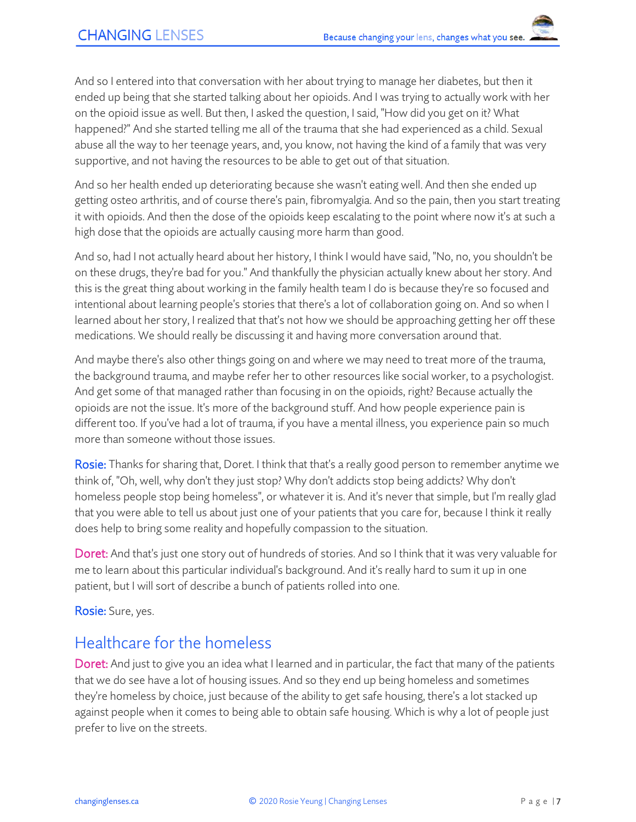And so I entered into that conversation with her about trying to manage her diabetes, but then it ended up being that she started talking about her opioids. And I was trying to actually work with her on the opioid issue as well. But then, I asked the question, I said, "How did you get on it? What happened?" And she started telling me all of the trauma that she had experienced as a child. Sexual abuse all the way to her teenage years, and, you know, not having the kind of a family that was very supportive, and not having the resources to be able to get out of that situation.

And so her health ended up deteriorating because she wasn't eating well. And then she ended up getting osteo arthritis, and of course there's pain, fibromyalgia. And so the pain, then you start treating it with opioids. And then the dose of the opioids keep escalating to the point where now it's at such a high dose that the opioids are actually causing more harm than good.

And so, had I not actually heard about her history, I think I would have said, "No, no, you shouldn't be on these drugs, they're bad for you." And thankfully the physician actually knew about her story. And this is the great thing about working in the family health team I do is because they're so focused and intentional about learning people's stories that there's a lot of collaboration going on. And so when I learned about her story, I realized that that's not how we should be approaching getting her off these medications. We should really be discussing it and having more conversation around that.

And maybe there's also other things going on and where we may need to treat more of the trauma, the background trauma, and maybe refer her to other resources like social worker, to a psychologist. And get some of that managed rather than focusing in on the opioids, right? Because actually the opioids are not the issue. It's more of the background stuff. And how people experience pain is different too. If you've had a lot of trauma, if you have a mental illness, you experience pain so much more than someone without those issues.

Rosie: Thanks for sharing that, Doret. I think that that's a really good person to remember anytime we think of, "Oh, well, why don't they just stop? Why don't addicts stop being addicts? Why don't homeless people stop being homeless", or whatever it is. And it's never that simple, but I'm really glad that you were able to tell us about just one of your patients that you care for, because I think it really does help to bring some reality and hopefully compassion to the situation.

Doret: And that's just one story out of hundreds of stories. And so I think that it was very valuable for me to learn about this particular individual's background. And it's really hard to sum it up in one patient, but I will sort of describe a bunch of patients rolled into one.

Rosie: Sure, yes.

### Healthcare for the homeless

Doret: And just to give you an idea what I learned and in particular, the fact that many of the patients that we do see have a lot of housing issues. And so they end up being homeless and sometimes they're homeless by choice, just because of the ability to get safe housing, there's a lot stacked up against people when it comes to being able to obtain safe housing. Which is why a lot of people just prefer to live on the streets.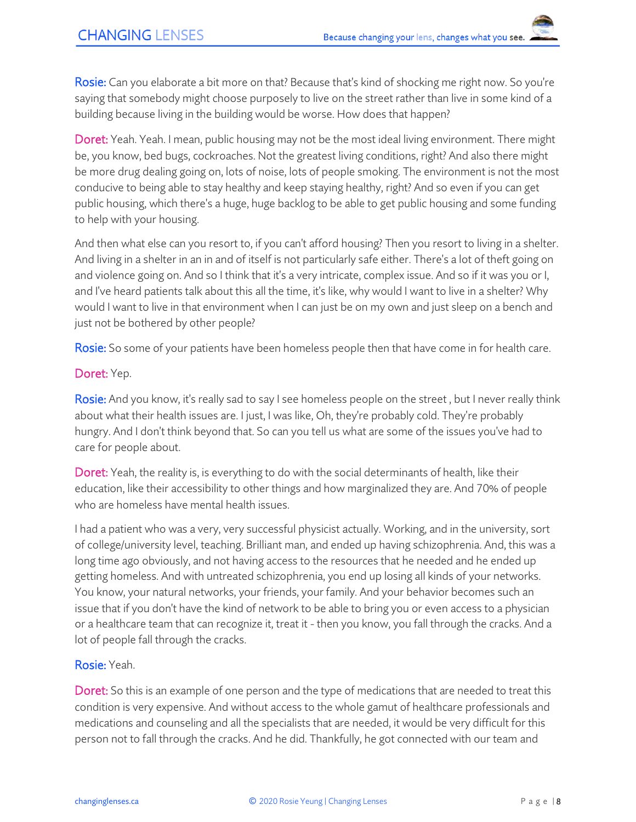Rosie: Can you elaborate a bit more on that? Because that's kind of shocking me right now. So you're saying that somebody might choose purposely to live on the street rather than live in some kind of a building because living in the building would be worse. How does that happen?

Doret: Yeah. Yeah. I mean, public housing may not be the most ideal living environment. There might be, you know, bed bugs, cockroaches. Not the greatest living conditions, right? And also there might be more drug dealing going on, lots of noise, lots of people smoking. The environment is not the most conducive to being able to stay healthy and keep staying healthy, right? And so even if you can get public housing, which there's a huge, huge backlog to be able to get public housing and some funding to help with your housing.

And then what else can you resort to, if you can't afford housing? Then you resort to living in a shelter. And living in a shelter in an in and of itself is not particularly safe either. There's a lot of theft going on and violence going on. And so I think that it's a very intricate, complex issue. And so if it was you or I, and I've heard patients talk about this all the time, it's like, why would I want to live in a shelter? Why would I want to live in that environment when I can just be on my own and just sleep on a bench and just not be bothered by other people?

Rosie: So some of your patients have been homeless people then that have come in for health care.

#### Doret: Yep.

Rosie: And you know, it's really sad to say I see homeless people on the street, but I never really think about what their health issues are. I just, I was like, Oh, they're probably cold. They're probably hungry. And I don't think beyond that. So can you tell us what are some of the issues you've had to care for people about.

Doret: Yeah, the reality is, is everything to do with the social determinants of health, like their education, like their accessibility to other things and how marginalized they are. And 70% of people who are homeless have mental health issues

I had a patient who was a very, very successful physicist actually. Working, and in the university, sort of college/university level, teaching. Brilliant man, and ended up having schizophrenia. And, this was a long time ago obviously, and not having access to the resources that he needed and he ended up getting homeless. And with untreated schizophrenia, you end up losing all kinds of your networks. You know, your natural networks, your friends, your family. And your behavior becomes such an issue that if you don't have the kind of network to be able to bring you or even access to a physician or a healthcare team that can recognize it, treat it - then you know, you fall through the cracks. And a lot of people fall through the cracks.

#### Rosie: Yeah.

Doret: So this is an example of one person and the type of medications that are needed to treat this condition is very expensive. And without access to the whole gamut of healthcare professionals and medications and counseling and all the specialists that are needed, it would be very difficult for this person not to fall through the cracks. And he did. Thankfully, he got connected with our team and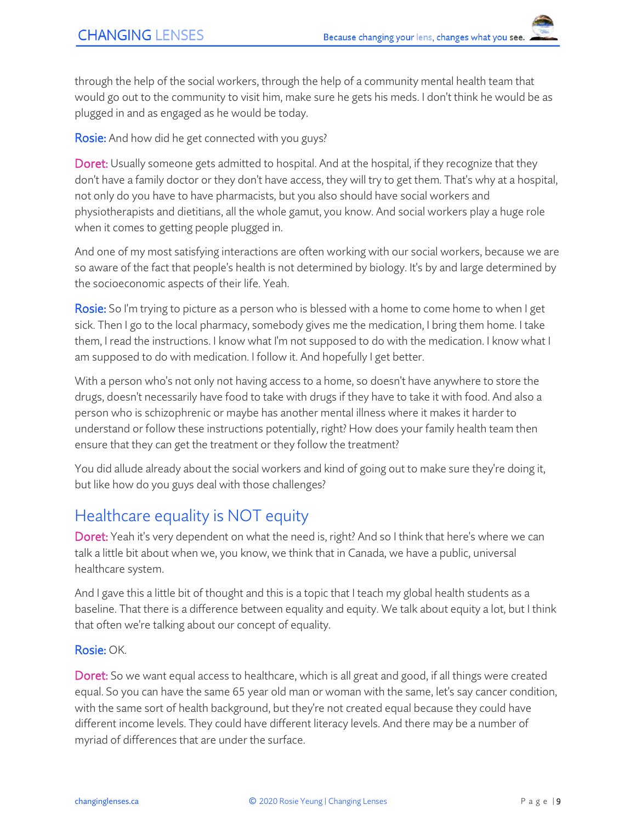through the help of the social workers, through the help of a community mental health team that would go out to the community to visit him, make sure he gets his meds. I don't think he would be as plugged in and as engaged as he would be today.

Rosie: And how did he get connected with you guys?

Doret: Usually someone gets admitted to hospital. And at the hospital, if they recognize that they don't have a family doctor or they don't have access, they will try to get them. That's why at a hospital, not only do you have to have pharmacists, but you also should have social workers and physiotherapists and dietitians, all the whole gamut, you know. And social workers play a huge role when it comes to getting people plugged in.

And one of my most satisfying interactions are often working with our social workers, because we are so aware of the fact that people's health is not determined by biology. It's by and large determined by the socioeconomic aspects of their life. Yeah.

Rosie: So I'm trying to picture as a person who is blessed with a home to come home to when I get sick. Then I go to the local pharmacy, somebody gives me the medication, I bring them home. I take them, I read the instructions. I know what I'm not supposed to do with the medication. I know what I am supposed to do with medication. I follow it. And hopefully I get better.

With a person who's not only not having access to a home, so doesn't have anywhere to store the drugs, doesn't necessarily have food to take with drugs if they have to take it with food. And also a person who is schizophrenic or maybe has another mental illness where it makes it harder to understand or follow these instructions potentially, right? How does your family health team then ensure that they can get the treatment or they follow the treatment?

You did allude already about the social workers and kind of going out to make sure they're doing it, but like how do you guys deal with those challenges?

## Healthcare equality is NOT equity

Doret: Yeah it's very dependent on what the need is, right? And so I think that here's where we can talk a little bit about when we, you know, we think that in Canada, we have a public, universal healthcare system.

And I gave this a little bit of thought and this is a topic that I teach my global health students as a baseline. That there is a difference between equality and equity. We talk about equity a lot, but I think that often we're talking about our concept of equality.

#### Rosie: OK.

Doret: So we want equal access to healthcare, which is all great and good, if all things were created equal. So you can have the same 65 year old man or woman with the same, let's say cancer condition, with the same sort of health background, but they're not created equal because they could have different income levels. They could have different literacy levels. And there may be a number of myriad of differences that are under the surface.